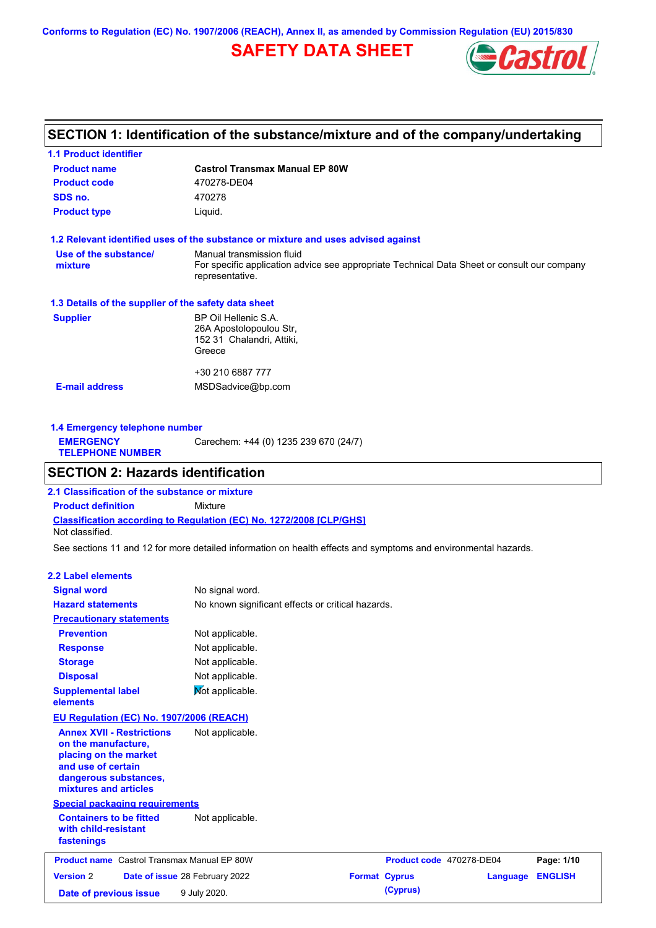**Conforms to Regulation (EC) No. 1907/2006 (REACH), Annex II, as amended by Commission Regulation (EU) 2015/830**

# **SAFETY DATA SHEET**



# **SECTION 1: Identification of the substance/mixture and of the company/undertaking**

| <b>1.1 Product identifier</b>                        |                                                                                                                                             |
|------------------------------------------------------|---------------------------------------------------------------------------------------------------------------------------------------------|
| <b>Product name</b>                                  | <b>Castrol Transmax Manual EP 80W</b>                                                                                                       |
| <b>Product code</b>                                  | 470278-DE04                                                                                                                                 |
| SDS no.                                              | 470278                                                                                                                                      |
| <b>Product type</b>                                  | Liquid.                                                                                                                                     |
|                                                      | 1.2 Relevant identified uses of the substance or mixture and uses advised against                                                           |
| Use of the substance/<br>mixture                     | Manual transmission fluid<br>For specific application advice see appropriate Technical Data Sheet or consult our company<br>representative. |
| 1.3 Details of the supplier of the safety data sheet |                                                                                                                                             |
| <b>Supplier</b>                                      | BP Oil Hellenic S.A.<br>26A Apostolopoulou Str.<br>152 31 Chalandri, Attiki,<br>Greece                                                      |
|                                                      | +30 210 6887 777                                                                                                                            |
| <b>E-mail address</b>                                | MSDSadvice@bp.com                                                                                                                           |
|                                                      |                                                                                                                                             |

| 1.4 Emergency telephone number              |                                       |  |  |
|---------------------------------------------|---------------------------------------|--|--|
| <b>EMERGENCY</b><br><b>TELEPHONE NUMBER</b> | Carechem: +44 (0) 1235 239 670 (24/7) |  |  |
|                                             |                                       |  |  |

# **SECTION 2: Hazards identification**

**Classification according to Regulation (EC) No. 1272/2008 [CLP/GHS] 2.1 Classification of the substance or mixture Product definition** Mixture Not classified.

See sections 11 and 12 for more detailed information on health effects and symptoms and environmental hazards.

### **2.2 Label elements**

| <b>Signal word</b><br>No signal word.<br><b>Hazard statements</b><br>No known significant effects or critical hazards.<br><b>Precautionary statements</b><br><b>Prevention</b><br>Not applicable.<br>Not applicable.<br><b>Response</b><br>Not applicable.<br><b>Storage</b><br>Not applicable.<br><b>Disposal</b><br>Not applicable.<br><b>Supplemental label</b><br>elements<br>EU Regulation (EC) No. 1907/2006 (REACH)<br><b>Annex XVII - Restrictions</b><br>Not applicable.<br>on the manufacture,<br>placing on the market<br>and use of certain<br>dangerous substances,<br>mixtures and articles<br><b>Special packaging requirements</b><br><b>Containers to be fitted</b><br>Not applicable.<br>with child-resistant<br>fastenings<br><b>Product name</b> Castrol Transmax Manual EP 80W<br>Page: 1/10<br>Product code 470278-DE04<br><b>Version 2</b><br><b>Format Cyprus</b><br><b>ENGLISH</b><br>Date of issue 28 February 2022<br>Language<br>(Cyprus)<br>9 July 2020.<br>Date of previous issue |  |  |  |
|-----------------------------------------------------------------------------------------------------------------------------------------------------------------------------------------------------------------------------------------------------------------------------------------------------------------------------------------------------------------------------------------------------------------------------------------------------------------------------------------------------------------------------------------------------------------------------------------------------------------------------------------------------------------------------------------------------------------------------------------------------------------------------------------------------------------------------------------------------------------------------------------------------------------------------------------------------------------------------------------------------------------|--|--|--|
|                                                                                                                                                                                                                                                                                                                                                                                                                                                                                                                                                                                                                                                                                                                                                                                                                                                                                                                                                                                                                 |  |  |  |
|                                                                                                                                                                                                                                                                                                                                                                                                                                                                                                                                                                                                                                                                                                                                                                                                                                                                                                                                                                                                                 |  |  |  |
|                                                                                                                                                                                                                                                                                                                                                                                                                                                                                                                                                                                                                                                                                                                                                                                                                                                                                                                                                                                                                 |  |  |  |
|                                                                                                                                                                                                                                                                                                                                                                                                                                                                                                                                                                                                                                                                                                                                                                                                                                                                                                                                                                                                                 |  |  |  |
|                                                                                                                                                                                                                                                                                                                                                                                                                                                                                                                                                                                                                                                                                                                                                                                                                                                                                                                                                                                                                 |  |  |  |
|                                                                                                                                                                                                                                                                                                                                                                                                                                                                                                                                                                                                                                                                                                                                                                                                                                                                                                                                                                                                                 |  |  |  |
|                                                                                                                                                                                                                                                                                                                                                                                                                                                                                                                                                                                                                                                                                                                                                                                                                                                                                                                                                                                                                 |  |  |  |
|                                                                                                                                                                                                                                                                                                                                                                                                                                                                                                                                                                                                                                                                                                                                                                                                                                                                                                                                                                                                                 |  |  |  |
|                                                                                                                                                                                                                                                                                                                                                                                                                                                                                                                                                                                                                                                                                                                                                                                                                                                                                                                                                                                                                 |  |  |  |
|                                                                                                                                                                                                                                                                                                                                                                                                                                                                                                                                                                                                                                                                                                                                                                                                                                                                                                                                                                                                                 |  |  |  |
|                                                                                                                                                                                                                                                                                                                                                                                                                                                                                                                                                                                                                                                                                                                                                                                                                                                                                                                                                                                                                 |  |  |  |
|                                                                                                                                                                                                                                                                                                                                                                                                                                                                                                                                                                                                                                                                                                                                                                                                                                                                                                                                                                                                                 |  |  |  |
|                                                                                                                                                                                                                                                                                                                                                                                                                                                                                                                                                                                                                                                                                                                                                                                                                                                                                                                                                                                                                 |  |  |  |
|                                                                                                                                                                                                                                                                                                                                                                                                                                                                                                                                                                                                                                                                                                                                                                                                                                                                                                                                                                                                                 |  |  |  |
|                                                                                                                                                                                                                                                                                                                                                                                                                                                                                                                                                                                                                                                                                                                                                                                                                                                                                                                                                                                                                 |  |  |  |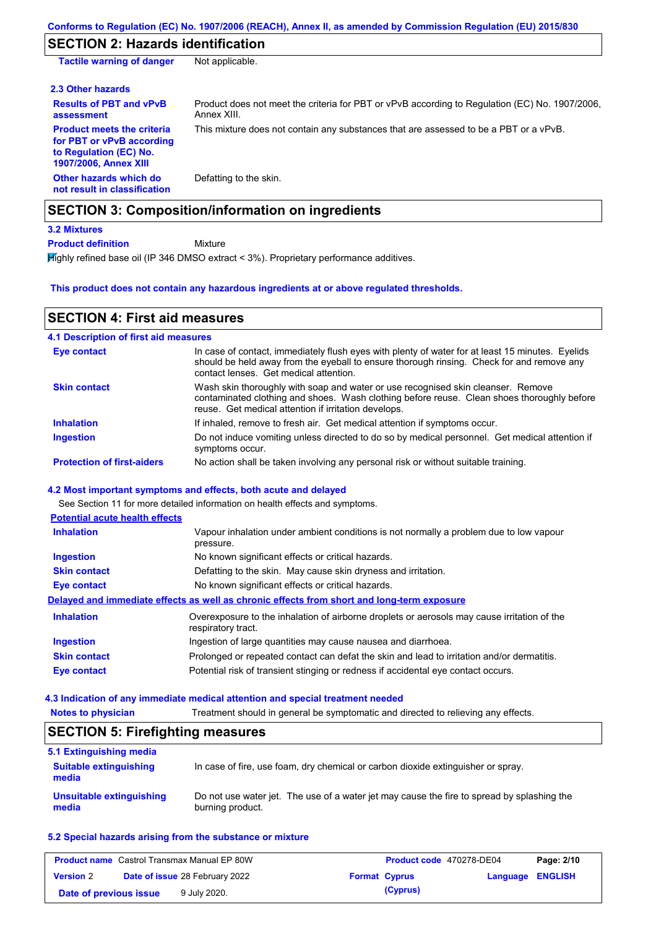# **SECTION 2: Hazards identification**

| <b>Tactile warning of danger</b>                                                                                  | Not applicable.                                                                                               |
|-------------------------------------------------------------------------------------------------------------------|---------------------------------------------------------------------------------------------------------------|
| 2.3 Other hazards                                                                                                 |                                                                                                               |
| <b>Results of PBT and vPvB</b><br>assessment                                                                      | Product does not meet the criteria for PBT or vPvB according to Regulation (EC) No. 1907/2006,<br>Annex XIII. |
| <b>Product meets the criteria</b><br>for PBT or vPvB according<br>to Regulation (EC) No.<br>1907/2006, Annex XIII | This mixture does not contain any substances that are assessed to be a PBT or a vPvB.                         |
| Other hazards which do<br>not result in classification                                                            | Defatting to the skin.                                                                                        |
|                                                                                                                   | <b>SECTION 3: Composition/information on ingredients</b>                                                      |
| <b>3.2 Mixtures</b>                                                                                               |                                                                                                               |

Mixture **Product definition**

Highly refined base oil (IP 346 DMSO extract < 3%). Proprietary performance additives.

### **This product does not contain any hazardous ingredients at or above regulated thresholds.**

## **SECTION 4: First aid measures**

| <b>4.1 Description of first aid measures</b> |                                                                                                                                                                                                                                         |
|----------------------------------------------|-----------------------------------------------------------------------------------------------------------------------------------------------------------------------------------------------------------------------------------------|
| <b>Eye contact</b>                           | In case of contact, immediately flush eyes with plenty of water for at least 15 minutes. Eyelids<br>should be held away from the eyeball to ensure thorough rinsing. Check for and remove any<br>contact lenses. Get medical attention. |
| <b>Skin contact</b>                          | Wash skin thoroughly with soap and water or use recognised skin cleanser. Remove<br>contaminated clothing and shoes. Wash clothing before reuse. Clean shoes thoroughly before<br>reuse. Get medical attention if irritation develops.  |
| <b>Inhalation</b>                            | If inhaled, remove to fresh air. Get medical attention if symptoms occur.                                                                                                                                                               |
| <b>Ingestion</b>                             | Do not induce vomiting unless directed to do so by medical personnel. Get medical attention if<br>symptoms occur.                                                                                                                       |
| <b>Protection of first-aiders</b>            | No action shall be taken involving any personal risk or without suitable training.                                                                                                                                                      |

### **4.2 Most important symptoms and effects, both acute and delayed**

See Section 11 for more detailed information on health effects and symptoms.

| <b>Potential acute health effects</b> |                                                                                                                   |
|---------------------------------------|-------------------------------------------------------------------------------------------------------------------|
| <b>Inhalation</b>                     | Vapour inhalation under ambient conditions is not normally a problem due to low vapour<br>pressure.               |
| <b>Ingestion</b>                      | No known significant effects or critical hazards.                                                                 |
| <b>Skin contact</b>                   | Defatting to the skin. May cause skin dryness and irritation.                                                     |
| Eye contact                           | No known significant effects or critical hazards.                                                                 |
|                                       | Delayed and immediate effects as well as chronic effects from short and long-term exposure                        |
| <b>Inhalation</b>                     | Overexposure to the inhalation of airborne droplets or aerosols may cause irritation of the<br>respiratory tract. |
| <b>Ingestion</b>                      | Ingestion of large quantities may cause nausea and diarrhoea.                                                     |
| <b>Skin contact</b>                   | Prolonged or repeated contact can defat the skin and lead to irritation and/or dermatitis.                        |
| Eye contact                           | Potential risk of transient stinging or redness if accidental eye contact occurs.                                 |

#### **4.3 Indication of any immediate medical attention and special treatment needed**

| <b>Notes to physician</b> |  | Treatment should in general be symptomatic and directed to relieving any effects. |
|---------------------------|--|-----------------------------------------------------------------------------------|
|                           |  |                                                                                   |

| <b>SECTION 5: Firefighting measures</b> |                                                                                                                |  |
|-----------------------------------------|----------------------------------------------------------------------------------------------------------------|--|
| 5.1 Extinguishing media                 |                                                                                                                |  |
| <b>Suitable extinguishing</b><br>media  | In case of fire, use foam, dry chemical or carbon dioxide extinguisher or spray.                               |  |
| Unsuitable extinguishing<br>media       | Do not use water jet. The use of a water jet may cause the fire to spread by splashing the<br>burning product. |  |

## **5.2 Special hazards arising from the substance or mixture**

| <b>Product name</b> Castrol Transmax Manual EP 80W |  | Product code 470278-DE04              |  | Page: 2/10           |                         |  |
|----------------------------------------------------|--|---------------------------------------|--|----------------------|-------------------------|--|
| <b>Version 2</b>                                   |  | <b>Date of issue 28 February 2022</b> |  | <b>Format Cyprus</b> | <b>Language ENGLISH</b> |  |
| Date of previous issue                             |  | 9 July 2020.                          |  | (Cyprus)             |                         |  |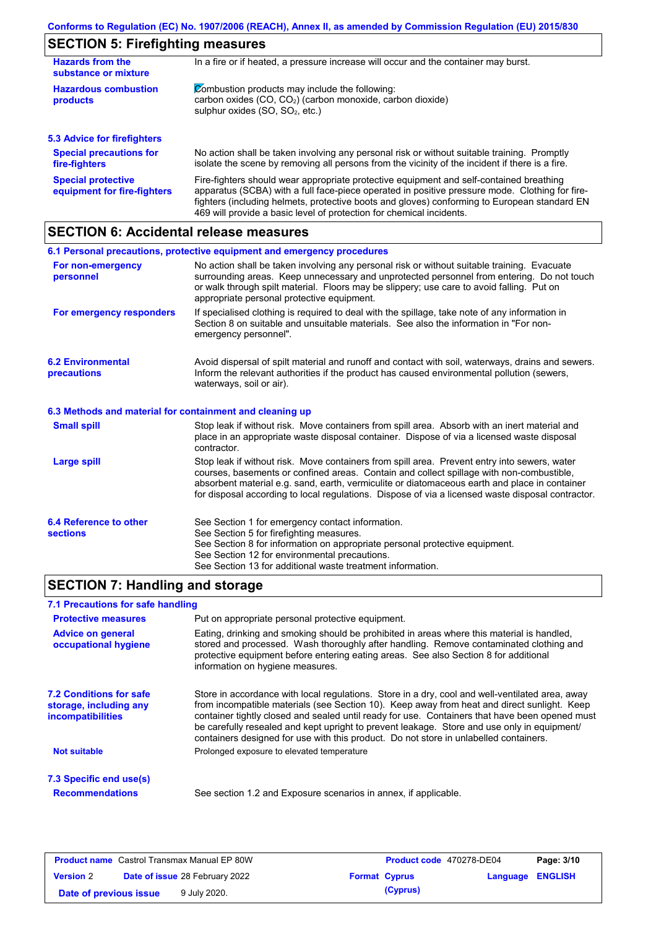# **SECTION 5: Firefighting measures**

| <b>Hazards from the</b><br>substance or mixture          | In a fire or if heated, a pressure increase will occur and the container may burst.                                                                                                                                                                                                                                                                               |  |  |
|----------------------------------------------------------|-------------------------------------------------------------------------------------------------------------------------------------------------------------------------------------------------------------------------------------------------------------------------------------------------------------------------------------------------------------------|--|--|
| <b>Hazardous combustion</b><br>products                  | Combustion products may include the following:<br>carbon oxides (CO, CO <sub>2</sub> ) (carbon monoxide, carbon dioxide)<br>sulphur oxides (SO, SO <sub>2</sub> , etc.)                                                                                                                                                                                           |  |  |
| <b>5.3 Advice for firefighters</b>                       |                                                                                                                                                                                                                                                                                                                                                                   |  |  |
| <b>Special precautions for</b><br>fire-fighters          | No action shall be taken involving any personal risk or without suitable training. Promptly<br>isolate the scene by removing all persons from the vicinity of the incident if there is a fire.                                                                                                                                                                    |  |  |
| <b>Special protective</b><br>equipment for fire-fighters | Fire-fighters should wear appropriate protective equipment and self-contained breathing<br>apparatus (SCBA) with a full face-piece operated in positive pressure mode. Clothing for fire-<br>fighters (including helmets, protective boots and gloves) conforming to European standard EN<br>469 will provide a basic level of protection for chemical incidents. |  |  |

# **SECTION 6: Accidental release measures**

|                                                          | 6.1 Personal precautions, protective equipment and emergency procedures                                                                                                                                                                                                                                                                                                                        |
|----------------------------------------------------------|------------------------------------------------------------------------------------------------------------------------------------------------------------------------------------------------------------------------------------------------------------------------------------------------------------------------------------------------------------------------------------------------|
| For non-emergency<br>personnel                           | No action shall be taken involving any personal risk or without suitable training. Evacuate<br>surrounding areas. Keep unnecessary and unprotected personnel from entering. Do not touch<br>or walk through spilt material. Floors may be slippery; use care to avoid falling. Put on<br>appropriate personal protective equipment.                                                            |
| For emergency responders                                 | If specialised clothing is required to deal with the spillage, take note of any information in<br>Section 8 on suitable and unsuitable materials. See also the information in "For non-<br>emergency personnel".                                                                                                                                                                               |
| <b>6.2 Environmental</b><br>precautions                  | Avoid dispersal of spilt material and runoff and contact with soil, waterways, drains and sewers.<br>Inform the relevant authorities if the product has caused environmental pollution (sewers,<br>waterways, soil or air).                                                                                                                                                                    |
| 6.3 Methods and material for containment and cleaning up |                                                                                                                                                                                                                                                                                                                                                                                                |
| <b>Small spill</b>                                       | Stop leak if without risk. Move containers from spill area. Absorb with an inert material and<br>place in an appropriate waste disposal container. Dispose of via a licensed waste disposal<br>contractor.                                                                                                                                                                                     |
| <b>Large spill</b>                                       | Stop leak if without risk. Move containers from spill area. Prevent entry into sewers, water<br>courses, basements or confined areas. Contain and collect spillage with non-combustible,<br>absorbent material e.g. sand, earth, vermiculite or diatomaceous earth and place in container<br>for disposal according to local regulations. Dispose of via a licensed waste disposal contractor. |
| 6.4 Reference to other<br><b>sections</b>                | See Section 1 for emergency contact information.<br>See Section 5 for firefighting measures.<br>See Section 8 for information on appropriate personal protective equipment.<br>See Section 12 for environmental precautions.<br>See Section 13 for additional waste treatment information.                                                                                                     |

## **SECTION 7: Handling and storage**

## **7.1 Precautions for safe handling**

| <b>Protective measures</b>                                                           | Put on appropriate personal protective equipment.                                                                                                                                                                                                                                                                                                                                                                                                                                        |
|--------------------------------------------------------------------------------------|------------------------------------------------------------------------------------------------------------------------------------------------------------------------------------------------------------------------------------------------------------------------------------------------------------------------------------------------------------------------------------------------------------------------------------------------------------------------------------------|
| <b>Advice on general</b><br>occupational hygiene                                     | Eating, drinking and smoking should be prohibited in areas where this material is handled,<br>stored and processed. Wash thoroughly after handling. Remove contaminated clothing and<br>protective equipment before entering eating areas. See also Section 8 for additional<br>information on hygiene measures.                                                                                                                                                                         |
| <b>7.2 Conditions for safe</b><br>storage, including any<br><i>incompatibilities</i> | Store in accordance with local requlations. Store in a dry, cool and well-ventilated area, away<br>from incompatible materials (see Section 10). Keep away from heat and direct sunlight. Keep<br>container tightly closed and sealed until ready for use. Containers that have been opened must<br>be carefully resealed and kept upright to prevent leakage. Store and use only in equipment/<br>containers designed for use with this product. Do not store in unlabelled containers. |
| Not suitable                                                                         | Prolonged exposure to elevated temperature                                                                                                                                                                                                                                                                                                                                                                                                                                               |
| 7.3 Specific end use(s)                                                              |                                                                                                                                                                                                                                                                                                                                                                                                                                                                                          |
| <b>Recommendations</b>                                                               | See section 1.2 and Exposure scenarios in annex, if applicable.                                                                                                                                                                                                                                                                                                                                                                                                                          |
|                                                                                      |                                                                                                                                                                                                                                                                                                                                                                                                                                                                                          |

| <b>Product name</b> Castrol Transmax Manual EP 80W |  | <b>Product code</b> 470278-DE04       |  | Page: 3/10           |                         |  |
|----------------------------------------------------|--|---------------------------------------|--|----------------------|-------------------------|--|
| <b>Version 2</b>                                   |  | <b>Date of issue 28 February 2022</b> |  | <b>Format Cyprus</b> | <b>Language ENGLISH</b> |  |
| Date of previous issue                             |  | 9 July 2020.                          |  | (Cyprus)             |                         |  |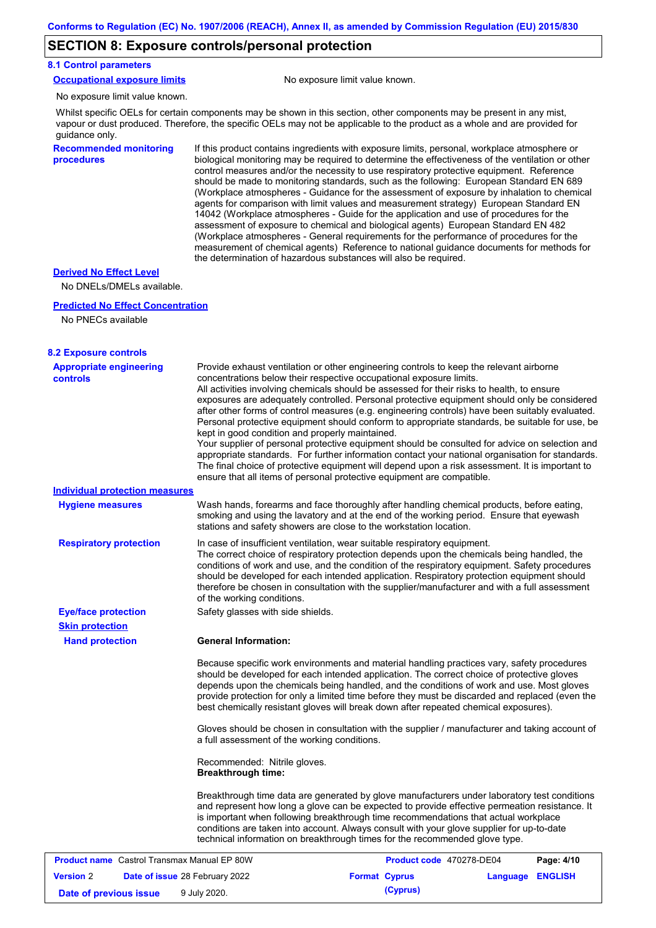## **SECTION 8: Exposure controls/personal protection**

### **8.1 Control parameters**

|  | <b>Occupational exposure limits</b> |  |
|--|-------------------------------------|--|
|  |                                     |  |

No exposure limit value known.

No exposure limit value known.

Whilst specific OELs for certain components may be shown in this section, other components may be present in any mist, vapour or dust produced. Therefore, the specific OELs may not be applicable to the product as a whole and are provided for guidance only.

**Recommended monitoring procedures**

If this product contains ingredients with exposure limits, personal, workplace atmosphere or biological monitoring may be required to determine the effectiveness of the ventilation or other control measures and/or the necessity to use respiratory protective equipment. Reference should be made to monitoring standards, such as the following: European Standard EN 689 (Workplace atmospheres - Guidance for the assessment of exposure by inhalation to chemical agents for comparison with limit values and measurement strategy) European Standard EN 14042 (Workplace atmospheres - Guide for the application and use of procedures for the assessment of exposure to chemical and biological agents) European Standard EN 482 (Workplace atmospheres - General requirements for the performance of procedures for the measurement of chemical agents) Reference to national guidance documents for methods for the determination of hazardous substances will also be required.

## **Derived No Effect Level**

No DNELs/DMELs available.

#### **Predicted No Effect Concentration**

No PNECs available

| <b>8.2 Exposure controls</b>                                                               |                                                                                                                                                                                                                                                                                                                                                                                                                                                                                                                                                                                                                                                                                                                                                                                                                                                                                                                                                                                                         |                          |                  |            |
|--------------------------------------------------------------------------------------------|---------------------------------------------------------------------------------------------------------------------------------------------------------------------------------------------------------------------------------------------------------------------------------------------------------------------------------------------------------------------------------------------------------------------------------------------------------------------------------------------------------------------------------------------------------------------------------------------------------------------------------------------------------------------------------------------------------------------------------------------------------------------------------------------------------------------------------------------------------------------------------------------------------------------------------------------------------------------------------------------------------|--------------------------|------------------|------------|
| <b>Appropriate engineering</b><br><b>controls</b><br><b>Individual protection measures</b> | Provide exhaust ventilation or other engineering controls to keep the relevant airborne<br>concentrations below their respective occupational exposure limits.<br>All activities involving chemicals should be assessed for their risks to health, to ensure<br>exposures are adequately controlled. Personal protective equipment should only be considered<br>after other forms of control measures (e.g. engineering controls) have been suitably evaluated.<br>Personal protective equipment should conform to appropriate standards, be suitable for use, be<br>kept in good condition and properly maintained.<br>Your supplier of personal protective equipment should be consulted for advice on selection and<br>appropriate standards. For further information contact your national organisation for standards.<br>The final choice of protective equipment will depend upon a risk assessment. It is important to<br>ensure that all items of personal protective equipment are compatible. |                          |                  |            |
| <b>Hygiene measures</b>                                                                    | Wash hands, forearms and face thoroughly after handling chemical products, before eating,<br>smoking and using the lavatory and at the end of the working period. Ensure that eyewash<br>stations and safety showers are close to the workstation location.                                                                                                                                                                                                                                                                                                                                                                                                                                                                                                                                                                                                                                                                                                                                             |                          |                  |            |
| <b>Respiratory protection</b>                                                              | In case of insufficient ventilation, wear suitable respiratory equipment.<br>The correct choice of respiratory protection depends upon the chemicals being handled, the<br>conditions of work and use, and the condition of the respiratory equipment. Safety procedures<br>should be developed for each intended application. Respiratory protection equipment should<br>therefore be chosen in consultation with the supplier/manufacturer and with a full assessment<br>of the working conditions.                                                                                                                                                                                                                                                                                                                                                                                                                                                                                                   |                          |                  |            |
| <b>Eye/face protection</b>                                                                 | Safety glasses with side shields.                                                                                                                                                                                                                                                                                                                                                                                                                                                                                                                                                                                                                                                                                                                                                                                                                                                                                                                                                                       |                          |                  |            |
| <b>Skin protection</b>                                                                     |                                                                                                                                                                                                                                                                                                                                                                                                                                                                                                                                                                                                                                                                                                                                                                                                                                                                                                                                                                                                         |                          |                  |            |
| <b>Hand protection</b>                                                                     | <b>General Information:</b>                                                                                                                                                                                                                                                                                                                                                                                                                                                                                                                                                                                                                                                                                                                                                                                                                                                                                                                                                                             |                          |                  |            |
|                                                                                            | Because specific work environments and material handling practices vary, safety procedures<br>should be developed for each intended application. The correct choice of protective gloves<br>depends upon the chemicals being handled, and the conditions of work and use. Most gloves<br>provide protection for only a limited time before they must be discarded and replaced (even the<br>best chemically resistant gloves will break down after repeated chemical exposures).                                                                                                                                                                                                                                                                                                                                                                                                                                                                                                                        |                          |                  |            |
|                                                                                            | Gloves should be chosen in consultation with the supplier / manufacturer and taking account of<br>a full assessment of the working conditions.                                                                                                                                                                                                                                                                                                                                                                                                                                                                                                                                                                                                                                                                                                                                                                                                                                                          |                          |                  |            |
|                                                                                            | Recommended: Nitrile gloves.<br><b>Breakthrough time:</b>                                                                                                                                                                                                                                                                                                                                                                                                                                                                                                                                                                                                                                                                                                                                                                                                                                                                                                                                               |                          |                  |            |
|                                                                                            | Breakthrough time data are generated by glove manufacturers under laboratory test conditions<br>and represent how long a glove can be expected to provide effective permeation resistance. It<br>is important when following breakthrough time recommendations that actual workplace<br>conditions are taken into account. Always consult with your glove supplier for up-to-date<br>technical information on breakthrough times for the recommended glove type.                                                                                                                                                                                                                                                                                                                                                                                                                                                                                                                                        |                          |                  |            |
| <b>Product name</b> Castrol Transmax Manual EP 80W                                         |                                                                                                                                                                                                                                                                                                                                                                                                                                                                                                                                                                                                                                                                                                                                                                                                                                                                                                                                                                                                         | Product code 470278-DE04 |                  | Page: 4/10 |
| <b>Version 2</b>                                                                           | Date of issue 28 February 2022                                                                                                                                                                                                                                                                                                                                                                                                                                                                                                                                                                                                                                                                                                                                                                                                                                                                                                                                                                          | <b>Format Cyprus</b>     | Language ENGLISH |            |
| Date of previous issue                                                                     | 9 July 2020.                                                                                                                                                                                                                                                                                                                                                                                                                                                                                                                                                                                                                                                                                                                                                                                                                                                                                                                                                                                            | (Cyprus)                 |                  |            |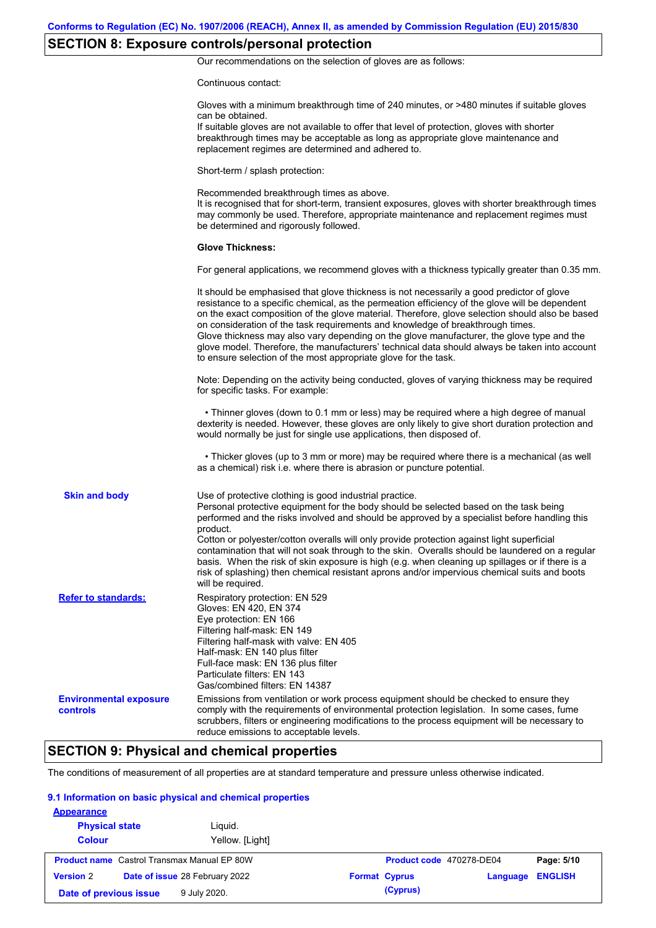# **SECTION 8: Exposure controls/personal protection**

Our recommendations on the selection of gloves are as follows:

Continuous contact:

|                                           | Gloves with a minimum breakthrough time of 240 minutes, or >480 minutes if suitable gloves<br>can be obtained.<br>If suitable gloves are not available to offer that level of protection, gloves with shorter<br>breakthrough times may be acceptable as long as appropriate glove maintenance and<br>replacement regimes are determined and adhered to.                                                                                                                                                                                                                                                                                                                              |
|-------------------------------------------|---------------------------------------------------------------------------------------------------------------------------------------------------------------------------------------------------------------------------------------------------------------------------------------------------------------------------------------------------------------------------------------------------------------------------------------------------------------------------------------------------------------------------------------------------------------------------------------------------------------------------------------------------------------------------------------|
|                                           | Short-term / splash protection:                                                                                                                                                                                                                                                                                                                                                                                                                                                                                                                                                                                                                                                       |
|                                           | Recommended breakthrough times as above.<br>It is recognised that for short-term, transient exposures, gloves with shorter breakthrough times<br>may commonly be used. Therefore, appropriate maintenance and replacement regimes must<br>be determined and rigorously followed.                                                                                                                                                                                                                                                                                                                                                                                                      |
|                                           | <b>Glove Thickness:</b>                                                                                                                                                                                                                                                                                                                                                                                                                                                                                                                                                                                                                                                               |
|                                           | For general applications, we recommend gloves with a thickness typically greater than 0.35 mm.                                                                                                                                                                                                                                                                                                                                                                                                                                                                                                                                                                                        |
|                                           | It should be emphasised that glove thickness is not necessarily a good predictor of glove<br>resistance to a specific chemical, as the permeation efficiency of the glove will be dependent<br>on the exact composition of the glove material. Therefore, glove selection should also be based<br>on consideration of the task requirements and knowledge of breakthrough times.<br>Glove thickness may also vary depending on the glove manufacturer, the glove type and the<br>glove model. Therefore, the manufacturers' technical data should always be taken into account<br>to ensure selection of the most appropriate glove for the task.                                     |
|                                           | Note: Depending on the activity being conducted, gloves of varying thickness may be required<br>for specific tasks. For example:                                                                                                                                                                                                                                                                                                                                                                                                                                                                                                                                                      |
|                                           | • Thinner gloves (down to 0.1 mm or less) may be required where a high degree of manual<br>dexterity is needed. However, these gloves are only likely to give short duration protection and<br>would normally be just for single use applications, then disposed of.                                                                                                                                                                                                                                                                                                                                                                                                                  |
|                                           | • Thicker gloves (up to 3 mm or more) may be required where there is a mechanical (as well<br>as a chemical) risk i.e. where there is abrasion or puncture potential.                                                                                                                                                                                                                                                                                                                                                                                                                                                                                                                 |
| <b>Skin and body</b>                      | Use of protective clothing is good industrial practice.<br>Personal protective equipment for the body should be selected based on the task being<br>performed and the risks involved and should be approved by a specialist before handling this<br>product.<br>Cotton or polyester/cotton overalls will only provide protection against light superficial<br>contamination that will not soak through to the skin. Overalls should be laundered on a regular<br>basis. When the risk of skin exposure is high (e.g. when cleaning up spillages or if there is a<br>risk of splashing) then chemical resistant aprons and/or impervious chemical suits and boots<br>will be required. |
| <b>Refer to standards:</b>                | Respiratory protection: EN 529<br>Gloves: EN 420, EN 374<br>Eye protection: EN 166<br>Filtering half-mask: EN 149<br>Filtering half-mask with valve: EN 405<br>Half-mask: EN 140 plus filter<br>Full-face mask: EN 136 plus filter<br>Particulate filters: EN 143<br>Gas/combined filters: EN 14387                                                                                                                                                                                                                                                                                                                                                                                   |
| <b>Environmental exposure</b><br>controls | Emissions from ventilation or work process equipment should be checked to ensure they<br>comply with the requirements of environmental protection legislation. In some cases, fume<br>scrubbers, filters or engineering modifications to the process equipment will be necessary to<br>reduce emissions to acceptable levels.                                                                                                                                                                                                                                                                                                                                                         |

# **SECTION 9: Physical and chemical properties**

The conditions of measurement of all properties are at standard temperature and pressure unless otherwise indicated.

#### **9.1 Information on basic physical and chemical properties**

| <b>Appearance</b>      |                                                    |                      |                          |                |
|------------------------|----------------------------------------------------|----------------------|--------------------------|----------------|
| <b>Physical state</b>  | Liquid.                                            |                      |                          |                |
| <b>Colour</b>          | Yellow. [Light]                                    |                      |                          |                |
|                        | <b>Product name</b> Castrol Transmax Manual EP 80W |                      | Product code 470278-DE04 | Page: 5/10     |
| <b>Version 2</b>       | Date of issue 28 February 2022                     | <b>Format Cyprus</b> | Language                 | <b>ENGLISH</b> |
| Date of previous issue | 9 July 2020.                                       | (Cyprus)             |                          |                |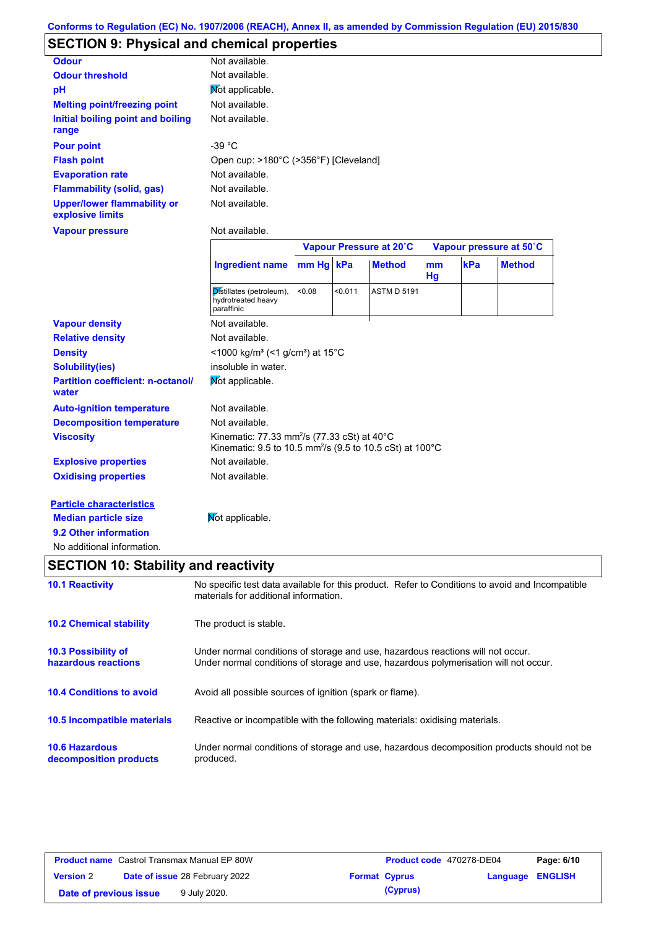# **SECTION 9: Physical and chemical properties**

|                                                        | Not available.                                                                                                                  |        |         |                         |          |     |                         |
|--------------------------------------------------------|---------------------------------------------------------------------------------------------------------------------------------|--------|---------|-------------------------|----------|-----|-------------------------|
| <b>Odour</b><br><b>Odour threshold</b>                 | Not available.                                                                                                                  |        |         |                         |          |     |                         |
|                                                        |                                                                                                                                 |        |         |                         |          |     |                         |
| pH                                                     | Mot applicable.                                                                                                                 |        |         |                         |          |     |                         |
| <b>Melting point/freezing point</b>                    | Not available.                                                                                                                  |        |         |                         |          |     |                         |
| Initial boiling point and boiling<br>range             | Not available.                                                                                                                  |        |         |                         |          |     |                         |
| <b>Pour point</b>                                      | $-39 °C$                                                                                                                        |        |         |                         |          |     |                         |
| <b>Flash point</b>                                     | Open cup: >180°C (>356°F) [Cleveland]                                                                                           |        |         |                         |          |     |                         |
| <b>Evaporation rate</b>                                | Not available.                                                                                                                  |        |         |                         |          |     |                         |
| <b>Flammability (solid, gas)</b>                       | Not available.                                                                                                                  |        |         |                         |          |     |                         |
| <b>Upper/lower flammability or</b><br>explosive limits | Not available.                                                                                                                  |        |         |                         |          |     |                         |
| <b>Vapour pressure</b>                                 | Not available.                                                                                                                  |        |         |                         |          |     |                         |
|                                                        |                                                                                                                                 |        |         | Vapour Pressure at 20°C |          |     | Vapour pressure at 50°C |
|                                                        | <b>Ingredient name</b>                                                                                                          | mm Hg  | kPa     | <b>Method</b>           | mm<br>Hg | kPa | <b>Method</b>           |
|                                                        | Distillates (petroleum),<br>hydrotreated heavy<br>paraffinic                                                                    | < 0.08 | < 0.011 | <b>ASTM D 5191</b>      |          |     |                         |
| <b>Vapour density</b>                                  | Not available.                                                                                                                  |        |         |                         |          |     |                         |
| <b>Relative density</b>                                | Not available.                                                                                                                  |        |         |                         |          |     |                         |
| <b>Density</b>                                         | <1000 kg/m <sup>3</sup> (<1 g/cm <sup>3</sup> ) at 15°C                                                                         |        |         |                         |          |     |                         |
| <b>Solubility(ies)</b>                                 | insoluble in water.                                                                                                             |        |         |                         |          |     |                         |
| <b>Partition coefficient: n-octanol/</b><br>water      | Not applicable.                                                                                                                 |        |         |                         |          |     |                         |
| <b>Auto-ignition temperature</b>                       | Not available.                                                                                                                  |        |         |                         |          |     |                         |
| <b>Decomposition temperature</b>                       | Not available.                                                                                                                  |        |         |                         |          |     |                         |
| <b>Viscosity</b>                                       | Kinematic: 77.33 mm <sup>2</sup> /s (77.33 cSt) at 40°C<br>Kinematic: 9.5 to 10.5 mm <sup>2</sup> /s (9.5 to 10.5 cSt) at 100°C |        |         |                         |          |     |                         |
| <b>Explosive properties</b>                            | Not available.                                                                                                                  |        |         |                         |          |     |                         |
| <b>Oxidising properties</b>                            | Not available.                                                                                                                  |        |         |                         |          |     |                         |
| <b>Particle characteristics</b>                        |                                                                                                                                 |        |         |                         |          |     |                         |
| <b>Median particle size</b>                            | Mot applicable.                                                                                                                 |        |         |                         |          |     |                         |
|                                                        |                                                                                                                                 |        |         |                         |          |     |                         |
| 9.2 Other information                                  |                                                                                                                                 |        |         |                         |          |     |                         |

| <b>10.1 Reactivity</b>                            | No specific test data available for this product. Refer to Conditions to avoid and Incompatible<br>materials for additional information.                                |
|---------------------------------------------------|-------------------------------------------------------------------------------------------------------------------------------------------------------------------------|
| <b>10.2 Chemical stability</b>                    | The product is stable.                                                                                                                                                  |
| <b>10.3 Possibility of</b><br>hazardous reactions | Under normal conditions of storage and use, hazardous reactions will not occur.<br>Under normal conditions of storage and use, hazardous polymerisation will not occur. |
| <b>10.4 Conditions to avoid</b>                   | Avoid all possible sources of ignition (spark or flame).                                                                                                                |
| 10.5 Incompatible materials                       | Reactive or incompatible with the following materials: oxidising materials.                                                                                             |
| <b>10.6 Hazardous</b><br>decomposition products   | Under normal conditions of storage and use, hazardous decomposition products should not be<br>produced.                                                                 |

| <b>Product name</b> Castrol Transmax Manual EP 80W |  |                                       | Product code 470278-DE04 |                      | Page: 6/10              |  |
|----------------------------------------------------|--|---------------------------------------|--------------------------|----------------------|-------------------------|--|
| <b>Version 2</b>                                   |  | <b>Date of issue 28 February 2022</b> |                          | <b>Format Cyprus</b> | <b>Language ENGLISH</b> |  |
| Date of previous issue                             |  | 9 July 2020.                          |                          | (Cyprus)             |                         |  |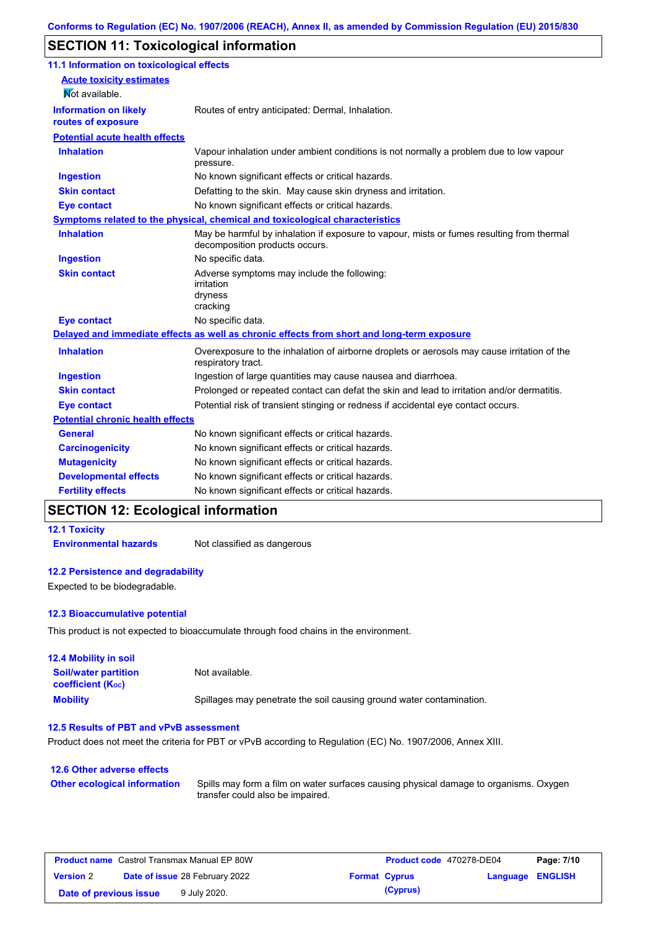## **SECTION 11: Toxicological information**

| 11.1 Information on toxicological effects |                                                                                                                             |
|-------------------------------------------|-----------------------------------------------------------------------------------------------------------------------------|
| <b>Acute toxicity estimates</b>           |                                                                                                                             |
| Not available.                            |                                                                                                                             |
| <b>Information on likely</b>              | Routes of entry anticipated: Dermal, Inhalation.                                                                            |
| routes of exposure                        |                                                                                                                             |
| <b>Potential acute health effects</b>     |                                                                                                                             |
| <b>Inhalation</b>                         | Vapour inhalation under ambient conditions is not normally a problem due to low vapour<br>pressure.                         |
| <b>Ingestion</b>                          | No known significant effects or critical hazards.                                                                           |
| <b>Skin contact</b>                       | Defatting to the skin. May cause skin dryness and irritation.                                                               |
| <b>Eye contact</b>                        | No known significant effects or critical hazards.                                                                           |
|                                           | Symptoms related to the physical, chemical and toxicological characteristics                                                |
| <b>Inhalation</b>                         | May be harmful by inhalation if exposure to vapour, mists or fumes resulting from thermal<br>decomposition products occurs. |
| <b>Ingestion</b>                          | No specific data.                                                                                                           |
| <b>Skin contact</b>                       | Adverse symptoms may include the following:<br>irritation<br>dryness<br>cracking                                            |
| <b>Eye contact</b>                        | No specific data.                                                                                                           |
|                                           | Delayed and immediate effects as well as chronic effects from short and long-term exposure                                  |
| <b>Inhalation</b>                         | Overexposure to the inhalation of airborne droplets or aerosols may cause irritation of the<br>respiratory tract.           |
| <b>Ingestion</b>                          | Ingestion of large quantities may cause nausea and diarrhoea.                                                               |
| <b>Skin contact</b>                       | Prolonged or repeated contact can defat the skin and lead to irritation and/or dermatitis.                                  |
| <b>Eye contact</b>                        | Potential risk of transient stinging or redness if accidental eye contact occurs.                                           |
| <b>Potential chronic health effects</b>   |                                                                                                                             |
| <b>General</b>                            | No known significant effects or critical hazards.                                                                           |
| <b>Carcinogenicity</b>                    | No known significant effects or critical hazards.                                                                           |
| <b>Mutagenicity</b>                       | No known significant effects or critical hazards.                                                                           |
| <b>Developmental effects</b>              | No known significant effects or critical hazards.                                                                           |
| <b>Fertility effects</b>                  | No known significant effects or critical hazards.                                                                           |

## **SECTION 12: Ecological information**

## **12.1 Toxicity**

**Environmental hazards** Not classified as dangerous

## **12.2 Persistence and degradability**

Expected to be biodegradable.

### **12.3 Bioaccumulative potential**

This product is not expected to bioaccumulate through food chains in the environment.

| <b>12.4 Mobility in soil</b>                            |                                                                      |
|---------------------------------------------------------|----------------------------------------------------------------------|
| <b>Soil/water partition</b><br><b>coefficient (Koc)</b> | Not available.                                                       |
| <b>Mobility</b>                                         | Spillages may penetrate the soil causing ground water contamination. |

#### **12.5 Results of PBT and vPvB assessment**

Product does not meet the criteria for PBT or vPvB according to Regulation (EC) No. 1907/2006, Annex XIII.

## **12.6 Other adverse effects Other ecological information**

Spills may form a film on water surfaces causing physical damage to organisms. Oxygen transfer could also be impaired.

| <b>Product name</b> Castrol Transmax Manual EP 80W |  | <b>Product code</b> 470278-DE04       |  | Page: 7/10           |                  |  |
|----------------------------------------------------|--|---------------------------------------|--|----------------------|------------------|--|
| <b>Version 2</b>                                   |  | <b>Date of issue 28 February 2022</b> |  | <b>Format Cyprus</b> | Language ENGLISH |  |
| Date of previous issue                             |  | 9 July 2020.                          |  | (Cyprus)             |                  |  |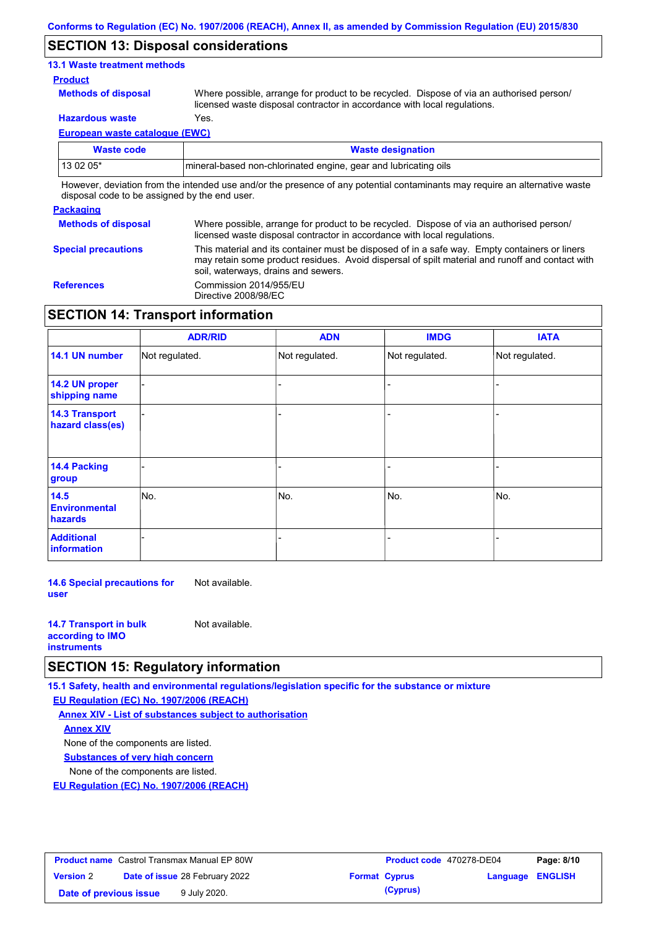## **SECTION 13: Disposal considerations**

## **13.1 Waste treatment methods**

#### **Product**

**Methods of disposal**

Where possible, arrange for product to be recycled. Dispose of via an authorised person/ licensed waste disposal contractor in accordance with local regulations.

**Hazardous waste** Yes.

**European waste catalogue (EWC)**

| Waste code | <b>Waste designation</b>                                                                                                    |
|------------|-----------------------------------------------------------------------------------------------------------------------------|
| $130205*$  | Imineral-based non-chlorinated engine, gear and lubricating oils                                                            |
|            | However, deviation from the intended use and/or the presence of any potential contaminants may require an alternative waste |

disposal code to be assigned by the end user.

#### **Packaging**

| <b>Methods of disposal</b> | Where possible, arrange for product to be recycled. Dispose of via an authorised person/<br>licensed waste disposal contractor in accordance with local regulations.                                                                    |
|----------------------------|-----------------------------------------------------------------------------------------------------------------------------------------------------------------------------------------------------------------------------------------|
| <b>Special precautions</b> | This material and its container must be disposed of in a safe way. Empty containers or liners<br>may retain some product residues. Avoid dispersal of spilt material and runoff and contact with<br>soil, waterways, drains and sewers. |
| <b>References</b>          | Commission 2014/955/EU<br>Directive 2008/98/EC                                                                                                                                                                                          |

## **SECTION 14: Transport information**

|                                           | <b>ADR/RID</b> | <b>ADN</b>     | <b>IMDG</b>    | <b>IATA</b>    |
|-------------------------------------------|----------------|----------------|----------------|----------------|
| 14.1 UN number                            | Not regulated. | Not regulated. | Not regulated. | Not regulated. |
| 14.2 UN proper<br>shipping name           |                |                |                |                |
| <b>14.3 Transport</b><br>hazard class(es) |                |                |                |                |
| 14.4 Packing<br>group                     |                |                |                |                |
| 14.5<br><b>Environmental</b><br>hazards   | No.            | No.            | No.            | No.            |
| <b>Additional</b><br>information          |                |                |                |                |

**14.6 Special precautions for user** Not available.

| <b>14.7 Transport in bulk</b> | Not available. |
|-------------------------------|----------------|
| according to <b>IMO</b>       |                |
| <b>instruments</b>            |                |

## **SECTION 15: Regulatory information**

**15.1 Safety, health and environmental regulations/legislation specific for the substance or mixture**

**EU Regulation (EC) No. 1907/2006 (REACH)**

**Annex XIV - List of substances subject to authorisation Substances of very high concern** None of the components are listed. None of the components are listed. **Annex XIV**

**EU Regulation (EC) No. 1907/2006 (REACH)**

| <b>Product name</b> Castrol Transmax Manual EP 80W |  | <b>Product code</b> 470278-DE04       |  | Page: 8/10           |                         |  |
|----------------------------------------------------|--|---------------------------------------|--|----------------------|-------------------------|--|
| <b>Version 2</b>                                   |  | <b>Date of issue 28 February 2022</b> |  | <b>Format Cyprus</b> | <b>Language ENGLISH</b> |  |
| Date of previous issue                             |  | 9 July 2020.                          |  | (Cyprus)             |                         |  |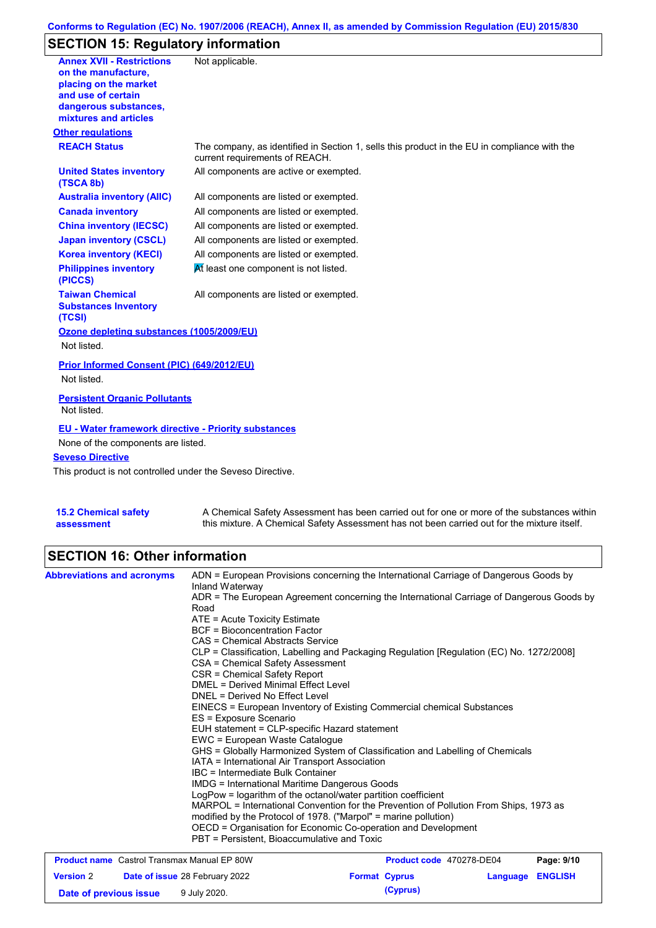## **Conforms to Regulation (EC) No. 1907/2006 (REACH), Annex II, as amended by Commission Regulation (EU) 2015/830**

# **SECTION 15: Regulatory information**

| <b>Annex XVII - Restrictions</b><br>on the manufacture,<br>placing on the market<br>and use of certain<br>dangerous substances,<br>mixtures and articles<br><b>Other regulations</b> | Not applicable.                                                                              |
|--------------------------------------------------------------------------------------------------------------------------------------------------------------------------------------|----------------------------------------------------------------------------------------------|
| <b>REACH Status</b>                                                                                                                                                                  | The company, as identified in Section 1, sells this product in the EU in compliance with the |
|                                                                                                                                                                                      | current requirements of REACH.                                                               |
| <b>United States inventory</b><br>(TSCA 8b)                                                                                                                                          | All components are active or exempted.                                                       |
| <b>Australia inventory (AIIC)</b>                                                                                                                                                    | All components are listed or exempted.                                                       |
| <b>Canada inventory</b>                                                                                                                                                              | All components are listed or exempted.                                                       |
| <b>China inventory (IECSC)</b>                                                                                                                                                       | All components are listed or exempted.                                                       |
| <b>Japan inventory (CSCL)</b>                                                                                                                                                        | All components are listed or exempted.                                                       |
| <b>Korea inventory (KECI)</b>                                                                                                                                                        | All components are listed or exempted.                                                       |
| <b>Philippines inventory</b><br>(PICCS)                                                                                                                                              | At least one component is not listed.                                                        |
| <b>Taiwan Chemical</b><br><b>Substances Inventory</b><br>(TCSI)                                                                                                                      | All components are listed or exempted.                                                       |
| Ozone depleting substances (1005/2009/EU)                                                                                                                                            |                                                                                              |
| Not listed.                                                                                                                                                                          |                                                                                              |
| Prior Informed Consent (PIC) (649/2012/EU)                                                                                                                                           |                                                                                              |
| Not listed.                                                                                                                                                                          |                                                                                              |
| <b>Persistent Organic Pollutants</b><br>Not listed.                                                                                                                                  |                                                                                              |
| <b>EU - Water framework directive - Priority substances</b>                                                                                                                          |                                                                                              |
| None of the components are listed.                                                                                                                                                   |                                                                                              |
| <b>Seveso Directive</b>                                                                                                                                                              |                                                                                              |
| This product is not controlled under the Seveso Directive.                                                                                                                           |                                                                                              |
|                                                                                                                                                                                      |                                                                                              |

| <b>15.2 Chemical safety</b> | A Chemical Safety Assessment has been carried out for one or more of the substances within  |
|-----------------------------|---------------------------------------------------------------------------------------------|
| assessment                  | this mixture. A Chemical Safety Assessment has not been carried out for the mixture itself. |

# **SECTION 16: Other information**

| <b>Abbreviations and acronyms</b>                  | Inland Waterway                                                 | ADN = European Provisions concerning the International Carriage of Dangerous Goods by    |            |
|----------------------------------------------------|-----------------------------------------------------------------|------------------------------------------------------------------------------------------|------------|
|                                                    | Road                                                            | ADR = The European Agreement concerning the International Carriage of Dangerous Goods by |            |
|                                                    | $ATE = Acute Toxicity Estimate$                                 |                                                                                          |            |
|                                                    | <b>BCF</b> = Bioconcentration Factor                            |                                                                                          |            |
|                                                    | CAS = Chemical Abstracts Service                                |                                                                                          |            |
|                                                    | CSA = Chemical Safety Assessment                                | CLP = Classification, Labelling and Packaging Regulation [Regulation (EC) No. 1272/2008] |            |
|                                                    | CSR = Chemical Safety Report                                    |                                                                                          |            |
|                                                    | DMEL = Derived Minimal Effect Level                             |                                                                                          |            |
|                                                    | DNEL = Derived No Effect Level                                  |                                                                                          |            |
|                                                    |                                                                 | EINECS = European Inventory of Existing Commercial chemical Substances                   |            |
|                                                    | ES = Exposure Scenario                                          |                                                                                          |            |
|                                                    | EUH statement = CLP-specific Hazard statement                   |                                                                                          |            |
|                                                    | EWC = European Waste Catalogue                                  |                                                                                          |            |
|                                                    |                                                                 | GHS = Globally Harmonized System of Classification and Labelling of Chemicals            |            |
|                                                    | IATA = International Air Transport Association                  |                                                                                          |            |
|                                                    | IBC = Intermediate Bulk Container                               |                                                                                          |            |
|                                                    | <b>IMDG</b> = International Maritime Dangerous Goods            |                                                                                          |            |
|                                                    | LogPow = logarithm of the octanol/water partition coefficient   |                                                                                          |            |
|                                                    | modified by the Protocol of 1978. ("Marpol" = marine pollution) | MARPOL = International Convention for the Prevention of Pollution From Ships, 1973 as    |            |
|                                                    | OECD = Organisation for Economic Co-operation and Development   |                                                                                          |            |
|                                                    | PBT = Persistent, Bioaccumulative and Toxic                     |                                                                                          |            |
| <b>Product name</b> Castrol Transmax Manual EP 80W |                                                                 | Product code 470278-DE04                                                                 | Page: 9/10 |

| <b>Product name</b> Castrol Transmax Manual EP 80W |                                       | Product code 470278-DE04 |                  | Page: 9/10 |
|----------------------------------------------------|---------------------------------------|--------------------------|------------------|------------|
| <b>Version 2</b>                                   | <b>Date of issue 28 February 2022</b> | <b>Format Cyprus</b>     | Language ENGLISH |            |
| Date of previous issue                             | 9 July 2020.                          | (Cyprus)                 |                  |            |